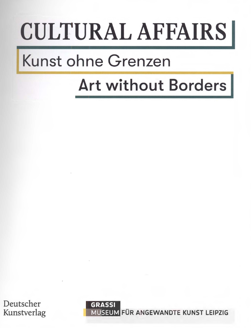## CULTURAL AFFAIRS

## Kunst ohne Grenzen

## Art without Borders

Deutscher Kunstverlag

**GRASSI**  MUSEUM FÜR ANGEWANDTE KUNST LEIPZIG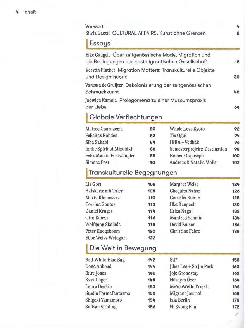| <b>Essays</b>                                                                                                                              |     |                              |                              |  |  |
|--------------------------------------------------------------------------------------------------------------------------------------------|-----|------------------------------|------------------------------|--|--|
| Elke Gaugele Über zeitgenössische Mode, Migration und                                                                                      |     |                              |                              |  |  |
| die Bedingungen der postmigrantischen Gesellschaft                                                                                         |     |                              | 18                           |  |  |
| Kerstin Pinther Migration Matters: Transkulturelle Objekte                                                                                 |     |                              |                              |  |  |
| und Designtheorie                                                                                                                          |     |                              | 30                           |  |  |
| Vanessa de Gruijter Dekolonisierung der zeitgenössischen                                                                                   |     |                              |                              |  |  |
| Schmuckkunst                                                                                                                               |     |                              | 48                           |  |  |
| Jadwiga Kamola Prolegomeng zu einer Museumspraxis                                                                                          |     |                              |                              |  |  |
| der Liebe                                                                                                                                  |     |                              | 64                           |  |  |
|                                                                                                                                            |     |                              |                              |  |  |
|                                                                                                                                            |     |                              |                              |  |  |
| Globale Verflechtungen                                                                                                                     |     |                              |                              |  |  |
|                                                                                                                                            | 80  | Whole Love Kyoto             | 92                           |  |  |
|                                                                                                                                            | 82  | Tia Ogui                     |                              |  |  |
|                                                                                                                                            | 84  | IKEA - Vedbäk                |                              |  |  |
|                                                                                                                                            | 86  | Semesterprojekt: Destination |                              |  |  |
|                                                                                                                                            | 88  | Romeo OlaJoseph              |                              |  |  |
| Matteo Guarnaccia<br><b>Felicitas Rohden</b><br>Siba Sahabi<br>In the Spirit of Mizuhiki<br>Felix Martin Furtwängler<br><b>Simone Post</b> | 90  | Andreas & Natalia Möller     | 94<br>96<br>98<br>100<br>102 |  |  |
|                                                                                                                                            |     |                              |                              |  |  |
| Transkulturelle Begegnungen                                                                                                                |     |                              |                              |  |  |
|                                                                                                                                            | 106 | Margret Weise                | 124                          |  |  |
| <b>Lis Gort</b><br>Halskette mit Taler                                                                                                     | 108 | Chequita Nahar               | 126                          |  |  |

| Halskette mit Taler | 108 | Chequita Nahar         | 126 |
|---------------------|-----|------------------------|-----|
| Marta Klonowska     | 110 | Cornelia Rohne         | 128 |
| Corrina Goutos      | 112 | Ilka Raupach           | 130 |
| Daniel Kruger       | 114 | Erico Nagai            | 132 |
| Otto Künzli         | 116 | Manfred Schmid         | 134 |
| Wolfgang Skoluda    | 118 | David Kaiser           | 136 |
| Peter Hoogeboom     | 120 | <b>Christine Fabre</b> | 138 |
| Ebbe Weiss-Weingart | 122 |                        |     |
|                     |     |                        |     |

## **1 Die Welt in Bewegung**

| Red-White-Blue Bag   | 142 | S <sub>27</sub>         | 158 |
|----------------------|-----|-------------------------|-----|
| Dona Abboud          | 144 | Jihee Lee + So Jin Park | 160 |
| Ikiré Jones          | 146 | Jojo Gronostay          | 162 |
| Kata Unger           | 148 | Hüzeyin Özer            | 164 |
| Laura Deakin         | 150 | MeYouWeDo Projekt       | 166 |
| Studio Formafantasma | 152 | Migrant Journal         | 168 |
| Shigeki Yamamoto     | 154 | lala Berlin             | 170 |
| Su-Ran Sichling      | 156 | Hi Kyung Eun            | 172 |
|                      |     |                         |     |